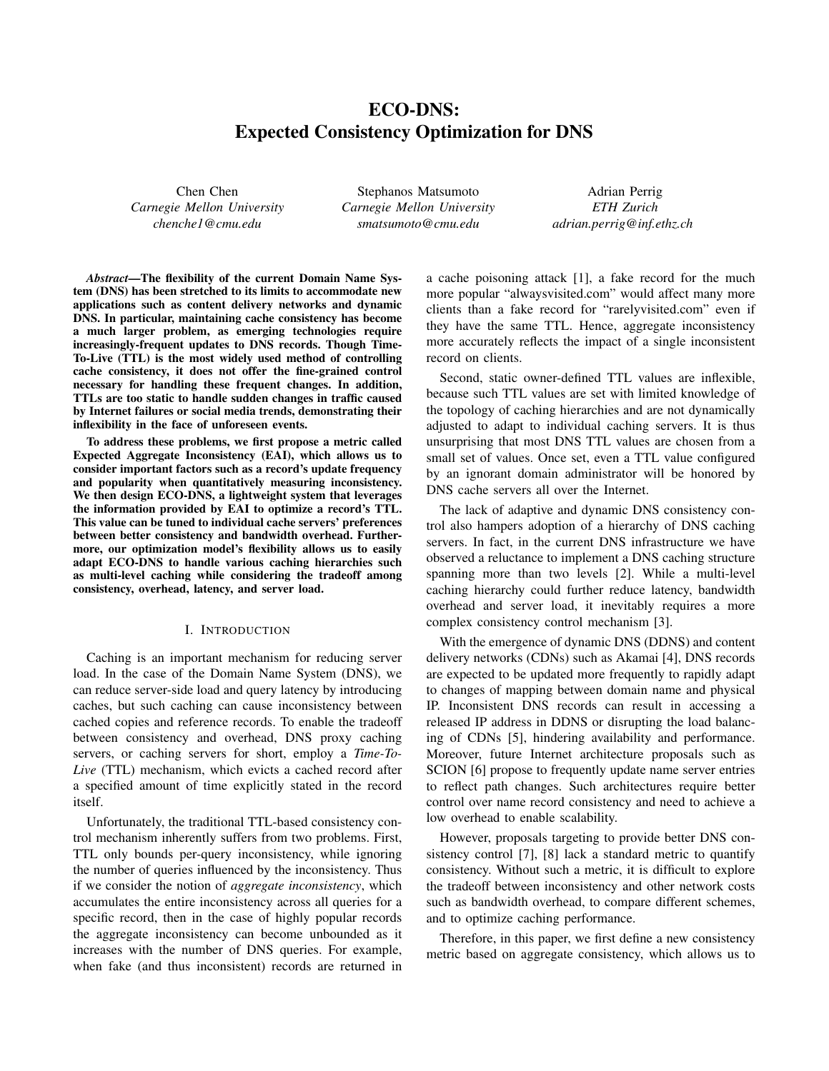# ECO-DNS: Expected Consistency Optimization for DNS

Chen Chen *Carnegie Mellon University chenche1@cmu.edu*

Stephanos Matsumoto *Carnegie Mellon University smatsumoto@cmu.edu*

Adrian Perrig *ETH Zurich adrian.perrig@inf.ethz.ch*

*Abstract*—The flexibility of the current Domain Name System (DNS) has been stretched to its limits to accommodate new applications such as content delivery networks and dynamic DNS. In particular, maintaining cache consistency has become a much larger problem, as emerging technologies require increasingly-frequent updates to DNS records. Though Time-To-Live (TTL) is the most widely used method of controlling cache consistency, it does not offer the fine-grained control necessary for handling these frequent changes. In addition, TTLs are too static to handle sudden changes in traffic caused by Internet failures or social media trends, demonstrating their inflexibility in the face of unforeseen events.

To address these problems, we first propose a metric called Expected Aggregate Inconsistency (EAI), which allows us to consider important factors such as a record's update frequency and popularity when quantitatively measuring inconsistency. We then design ECO-DNS, a lightweight system that leverages the information provided by EAI to optimize a record's TTL. This value can be tuned to individual cache servers' preferences between better consistency and bandwidth overhead. Furthermore, our optimization model's flexibility allows us to easily adapt ECO-DNS to handle various caching hierarchies such as multi-level caching while considering the tradeoff among consistency, overhead, latency, and server load.

## I. INTRODUCTION

Caching is an important mechanism for reducing server load. In the case of the Domain Name System (DNS), we can reduce server-side load and query latency by introducing caches, but such caching can cause inconsistency between cached copies and reference records. To enable the tradeoff between consistency and overhead, DNS proxy caching servers, or caching servers for short, employ a *Time-To-Live* (TTL) mechanism, which evicts a cached record after a specified amount of time explicitly stated in the record itself.

Unfortunately, the traditional TTL-based consistency control mechanism inherently suffers from two problems. First, TTL only bounds per-query inconsistency, while ignoring the number of queries influenced by the inconsistency. Thus if we consider the notion of *aggregate inconsistency*, which accumulates the entire inconsistency across all queries for a specific record, then in the case of highly popular records the aggregate inconsistency can become unbounded as it increases with the number of DNS queries. For example, when fake (and thus inconsistent) records are returned in a cache poisoning attack [1], a fake record for the much more popular "alwaysvisited.com" would affect many more clients than a fake record for "rarelyvisited.com" even if they have the same TTL. Hence, aggregate inconsistency more accurately reflects the impact of a single inconsistent record on clients.

Second, static owner-defined TTL values are inflexible, because such TTL values are set with limited knowledge of the topology of caching hierarchies and are not dynamically adjusted to adapt to individual caching servers. It is thus unsurprising that most DNS TTL values are chosen from a small set of values. Once set, even a TTL value configured by an ignorant domain administrator will be honored by DNS cache servers all over the Internet.

The lack of adaptive and dynamic DNS consistency control also hampers adoption of a hierarchy of DNS caching servers. In fact, in the current DNS infrastructure we have observed a reluctance to implement a DNS caching structure spanning more than two levels [2]. While a multi-level caching hierarchy could further reduce latency, bandwidth overhead and server load, it inevitably requires a more complex consistency control mechanism [3].

With the emergence of dynamic DNS (DDNS) and content delivery networks (CDNs) such as Akamai [4], DNS records are expected to be updated more frequently to rapidly adapt to changes of mapping between domain name and physical IP. Inconsistent DNS records can result in accessing a released IP address in DDNS or disrupting the load balancing of CDNs [5], hindering availability and performance. Moreover, future Internet architecture proposals such as SCION [6] propose to frequently update name server entries to reflect path changes. Such architectures require better control over name record consistency and need to achieve a low overhead to enable scalability.

However, proposals targeting to provide better DNS consistency control [7], [8] lack a standard metric to quantify consistency. Without such a metric, it is difficult to explore the tradeoff between inconsistency and other network costs such as bandwidth overhead, to compare different schemes, and to optimize caching performance.

Therefore, in this paper, we first define a new consistency metric based on aggregate consistency, which allows us to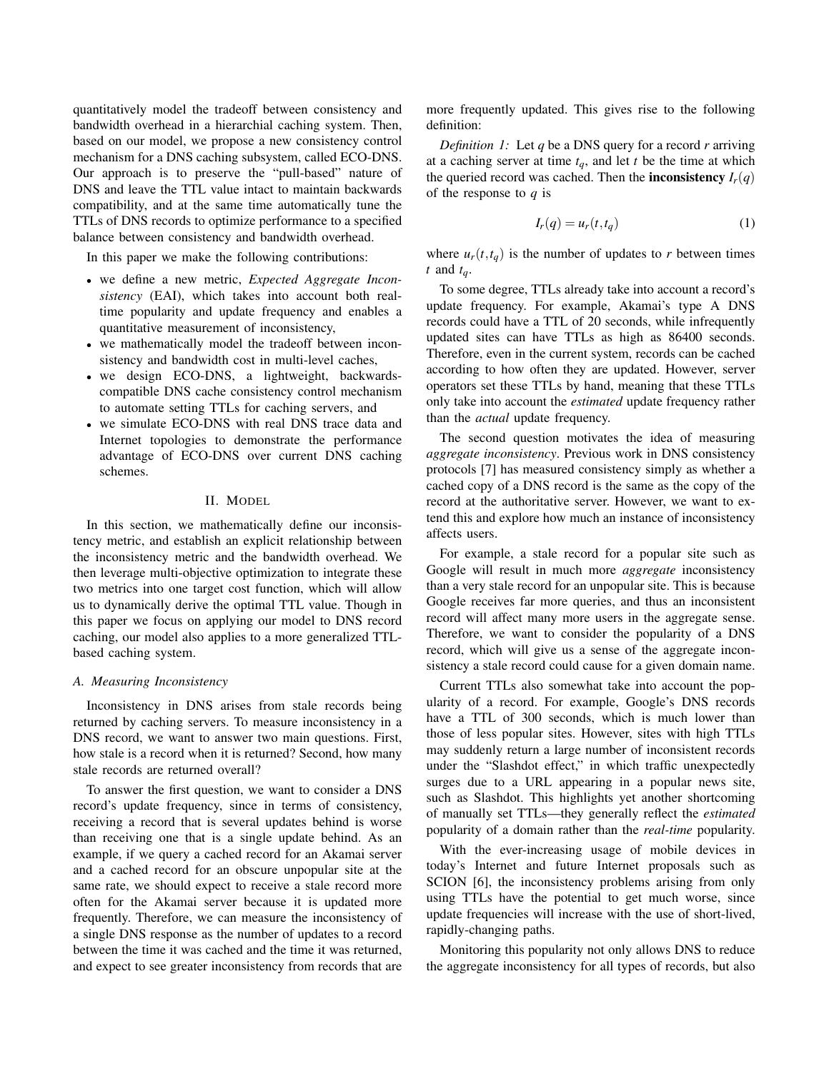quantitatively model the tradeoff between consistency and bandwidth overhead in a hierarchial caching system. Then, based on our model, we propose a new consistency control mechanism for a DNS caching subsystem, called ECO-DNS. Our approach is to preserve the "pull-based" nature of DNS and leave the TTL value intact to maintain backwards compatibility, and at the same time automatically tune the TTLs of DNS records to optimize performance to a specified balance between consistency and bandwidth overhead.

In this paper we make the following contributions:

- we define a new metric, *Expected Aggregate Inconsistency* (EAI), which takes into account both realtime popularity and update frequency and enables a quantitative measurement of inconsistency,
- we mathematically model the tradeoff between inconsistency and bandwidth cost in multi-level caches,
- we design ECO-DNS, a lightweight, backwardscompatible DNS cache consistency control mechanism to automate setting TTLs for caching servers, and
- we simulate ECO-DNS with real DNS trace data and Internet topologies to demonstrate the performance advantage of ECO-DNS over current DNS caching schemes.

## II. MODEL

In this section, we mathematically define our inconsistency metric, and establish an explicit relationship between the inconsistency metric and the bandwidth overhead. We then leverage multi-objective optimization to integrate these two metrics into one target cost function, which will allow us to dynamically derive the optimal TTL value. Though in this paper we focus on applying our model to DNS record caching, our model also applies to a more generalized TTLbased caching system.

#### *A. Measuring Inconsistency*

Inconsistency in DNS arises from stale records being returned by caching servers. To measure inconsistency in a DNS record, we want to answer two main questions. First, how stale is a record when it is returned? Second, how many stale records are returned overall?

To answer the first question, we want to consider a DNS record's update frequency, since in terms of consistency, receiving a record that is several updates behind is worse than receiving one that is a single update behind. As an example, if we query a cached record for an Akamai server and a cached record for an obscure unpopular site at the same rate, we should expect to receive a stale record more often for the Akamai server because it is updated more frequently. Therefore, we can measure the inconsistency of a single DNS response as the number of updates to a record between the time it was cached and the time it was returned, and expect to see greater inconsistency from records that are more frequently updated. This gives rise to the following definition:

*Definition 1:* Let *q* be a DNS query for a record *r* arriving at a caching server at time  $t_q$ , and let *t* be the time at which the queried record was cached. Then the **inconsistency**  $I_r(q)$ of the response to *q* is

$$
I_r(q) = u_r(t, t_q) \tag{1}
$$

where  $u_r(t,t_q)$  is the number of updates to *r* between times  $t$  and  $t_q$ .

To some degree, TTLs already take into account a record's update frequency. For example, Akamai's type A DNS records could have a TTL of 20 seconds, while infrequently updated sites can have TTLs as high as 86400 seconds. Therefore, even in the current system, records can be cached according to how often they are updated. However, server operators set these TTLs by hand, meaning that these TTLs only take into account the *estimated* update frequency rather than the *actual* update frequency.

The second question motivates the idea of measuring *aggregate inconsistency*. Previous work in DNS consistency protocols [7] has measured consistency simply as whether a cached copy of a DNS record is the same as the copy of the record at the authoritative server. However, we want to extend this and explore how much an instance of inconsistency affects users.

For example, a stale record for a popular site such as Google will result in much more *aggregate* inconsistency than a very stale record for an unpopular site. This is because Google receives far more queries, and thus an inconsistent record will affect many more users in the aggregate sense. Therefore, we want to consider the popularity of a DNS record, which will give us a sense of the aggregate inconsistency a stale record could cause for a given domain name.

Current TTLs also somewhat take into account the popularity of a record. For example, Google's DNS records have a TTL of 300 seconds, which is much lower than those of less popular sites. However, sites with high TTLs may suddenly return a large number of inconsistent records under the "Slashdot effect," in which traffic unexpectedly surges due to a URL appearing in a popular news site, such as Slashdot. This highlights yet another shortcoming of manually set TTLs—they generally reflect the *estimated* popularity of a domain rather than the *real-time* popularity.

With the ever-increasing usage of mobile devices in today's Internet and future Internet proposals such as SCION [6], the inconsistency problems arising from only using TTLs have the potential to get much worse, since update frequencies will increase with the use of short-lived, rapidly-changing paths.

Monitoring this popularity not only allows DNS to reduce the aggregate inconsistency for all types of records, but also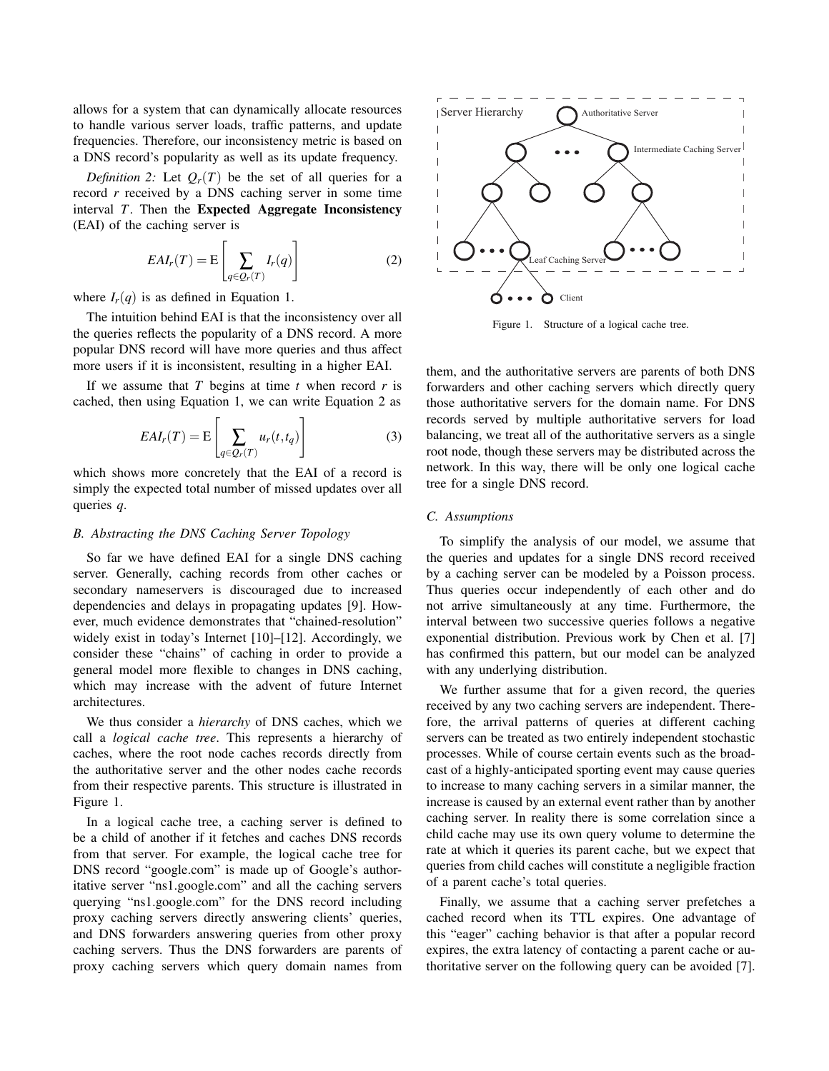allows for a system that can dynamically allocate resources to handle various server loads, traffic patterns, and update frequencies. Therefore, our inconsistency metric is based on a DNS record's popularity as well as its update frequency.

*Definition 2:* Let  $Q_r(T)$  be the set of all queries for a record *r* received by a DNS caching server in some time interval *T*. Then the Expected Aggregate Inconsistency (EAI) of the caching server is

$$
EAI_r(T) = \mathcal{E}\left[\sum_{q \in Q_r(T)} I_r(q)\right]
$$
 (2)

where  $I_r(q)$  is as defined in Equation 1.

The intuition behind EAI is that the inconsistency over all the queries reflects the popularity of a DNS record. A more popular DNS record will have more queries and thus affect more users if it is inconsistent, resulting in a higher EAI.

If we assume that  $T$  begins at time  $t$  when record  $r$  is cached, then using Equation 1, we can write Equation 2 as

$$
EAI_r(T) = \mathcal{E}\left[\sum_{q \in Q_r(T)} u_r(t, t_q)\right]
$$
 (3)

which shows more concretely that the EAI of a record is simply the expected total number of missed updates over all queries *q*.

## *B. Abstracting the DNS Caching Server Topology*

So far we have defined EAI for a single DNS caching server. Generally, caching records from other caches or secondary nameservers is discouraged due to increased dependencies and delays in propagating updates [9]. However, much evidence demonstrates that "chained-resolution" widely exist in today's Internet [10]–[12]. Accordingly, we consider these "chains" of caching in order to provide a general model more flexible to changes in DNS caching, which may increase with the advent of future Internet architectures.

We thus consider a *hierarchy* of DNS caches, which we call a *logical cache tree*. This represents a hierarchy of caches, where the root node caches records directly from the authoritative server and the other nodes cache records from their respective parents. This structure is illustrated in Figure 1.

In a logical cache tree, a caching server is defined to be a child of another if it fetches and caches DNS records from that server. For example, the logical cache tree for DNS record "google.com" is made up of Google's authoritative server "ns1.google.com" and all the caching servers querying "ns1.google.com" for the DNS record including proxy caching servers directly answering clients' queries, and DNS forwarders answering queries from other proxy caching servers. Thus the DNS forwarders are parents of proxy caching servers which query domain names from



Figure 1. Structure of a logical cache tree.

them, and the authoritative servers are parents of both DNS forwarders and other caching servers which directly query those authoritative servers for the domain name. For DNS records served by multiple authoritative servers for load balancing, we treat all of the authoritative servers as a single root node, though these servers may be distributed across the network. In this way, there will be only one logical cache tree for a single DNS record.

#### *C. Assumptions*

To simplify the analysis of our model, we assume that the queries and updates for a single DNS record received by a caching server can be modeled by a Poisson process. Thus queries occur independently of each other and do not arrive simultaneously at any time. Furthermore, the interval between two successive queries follows a negative exponential distribution. Previous work by Chen et al. [7] has confirmed this pattern, but our model can be analyzed with any underlying distribution.

We further assume that for a given record, the queries received by any two caching servers are independent. Therefore, the arrival patterns of queries at different caching servers can be treated as two entirely independent stochastic processes. While of course certain events such as the broadcast of a highly-anticipated sporting event may cause queries to increase to many caching servers in a similar manner, the increase is caused by an external event rather than by another caching server. In reality there is some correlation since a child cache may use its own query volume to determine the rate at which it queries its parent cache, but we expect that queries from child caches will constitute a negligible fraction of a parent cache's total queries.

Finally, we assume that a caching server prefetches a cached record when its TTL expires. One advantage of this "eager" caching behavior is that after a popular record expires, the extra latency of contacting a parent cache or authoritative server on the following query can be avoided [7].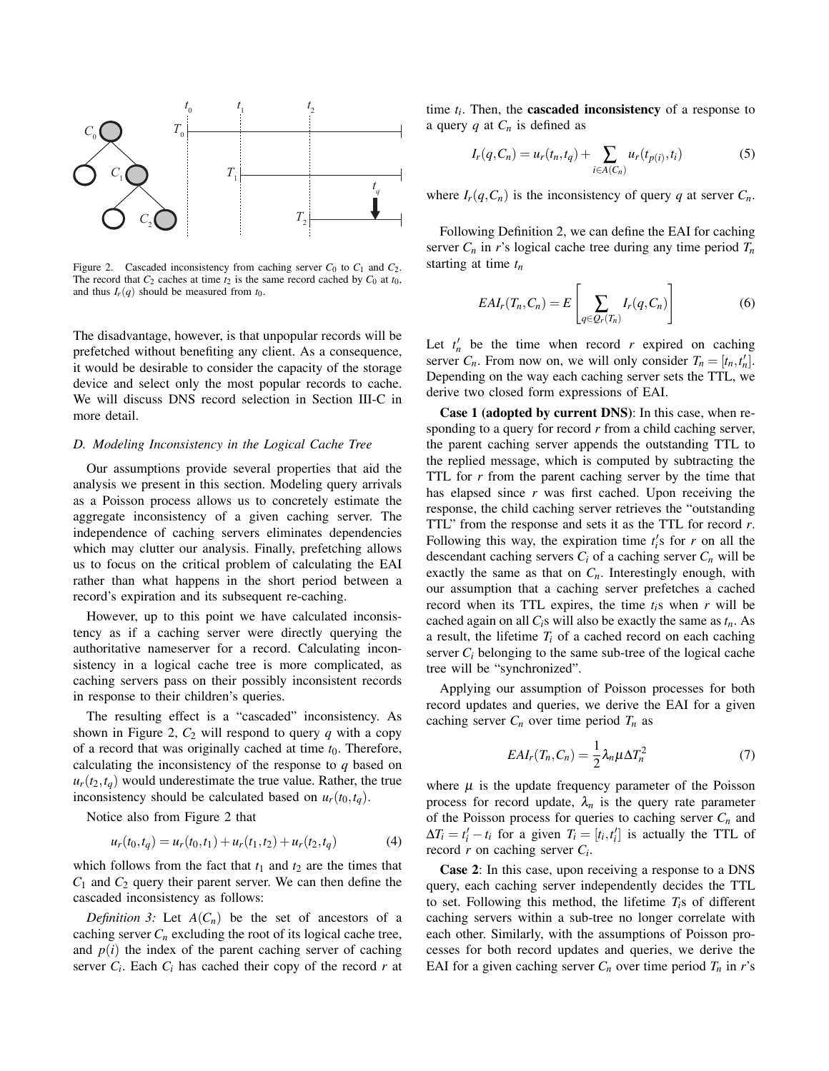

Figure 2. Cascaded inconsistency from caching server  $C_0$  to  $C_1$  and  $C_2$ . The record that  $C_2$  caches at time  $t_2$  is the same record cached by  $C_0$  at  $t_0$ , and thus  $I_r(q)$  should be measured from  $t_0$ .

The disadvantage, however, is that unpopular records will be prefetched without benefiting any client. As a consequence, it would be desirable to consider the capacity of the storage device and select only the most popular records to cache. We will discuss DNS record selection in Section III-C in more detail.

# *D. Modeling Inconsistency in the Logical Cache Tree*

Our assumptions provide several properties that aid the analysis we present in this section. Modeling query arrivals as a Poisson process allows us to concretely estimate the aggregate inconsistency of a given caching server. The independence of caching servers eliminates dependencies which may clutter our analysis. Finally, prefetching allows us to focus on the critical problem of calculating the EAI rather than what happens in the short period between a record's expiration and its subsequent re-caching.

However, up to this point we have calculated inconsistency as if a caching server were directly querying the authoritative nameserver for a record. Calculating inconsistency in a logical cache tree is more complicated, as caching servers pass on their possibly inconsistent records in response to their children's queries.

The resulting effect is a "cascaded" inconsistency. As shown in Figure 2,  $C_2$  will respond to query  $q$  with a copy of a record that was originally cached at time *t*0. Therefore, calculating the inconsistency of the response to *q* based on  $u_r(t_2,t_q)$  would underestimate the true value. Rather, the true inconsistency should be calculated based on  $u_r(t_0, t_a)$ .

Notice also from Figure 2 that

$$
u_r(t_0, t_q) = u_r(t_0, t_1) + u_r(t_1, t_2) + u_r(t_2, t_q)
$$
 (4)

which follows from the fact that  $t_1$  and  $t_2$  are the times that *C*<sup>1</sup> and *C*<sup>2</sup> query their parent server. We can then define the cascaded inconsistency as follows:

*Definition 3:* Let  $A(C_n)$  be the set of ancestors of a caching server  $C_n$  excluding the root of its logical cache tree, and  $p(i)$  the index of the parent caching server of caching server  $C_i$ . Each  $C_i$  has cached their copy of the record  $r$  at

time  $t_i$ . Then, the **cascaded inconsistency** of a response to a query  $q$  at  $C_n$  is defined as

$$
I_r(q, C_n) = u_r(t_n, t_q) + \sum_{i \in A(C_n)} u_r(t_{p(i)}, t_i)
$$
 (5)

where  $I_r(q, C_n)$  is the inconsistency of query q at server  $C_n$ .

Following Definition 2, we can define the EAI for caching server  $C_n$  in *r*'s logical cache tree during any time period  $T_n$ starting at time *t<sup>n</sup>*

$$
EAI_r(T_n, C_n) = E\left[\sum_{q \in Q_r(T_n)} I_r(q, C_n)\right]
$$
 (6)

Let  $t'_n$  be the time when record  $r$  expired on caching server  $C_n$ . From now on, we will only consider  $T_n = [t_n, t'_n]$ . Depending on the way each caching server sets the TTL, we derive two closed form expressions of EAI.

Case 1 (adopted by current DNS): In this case, when responding to a query for record *r* from a child caching server, the parent caching server appends the outstanding TTL to the replied message, which is computed by subtracting the TTL for *r* from the parent caching server by the time that has elapsed since *r* was first cached. Upon receiving the response, the child caching server retrieves the "outstanding TTL" from the response and sets it as the TTL for record *r*. Following this way, the expiration time  $t_i$ 's for  $r$  on all the descendant caching servers  $C_i$  of a caching server  $C_n$  will be exactly the same as that on  $C_n$ . Interestingly enough, with our assumption that a caching server prefetches a cached record when its TTL expires, the time *ti*s when *r* will be cached again on all  $C_i$ s will also be exactly the same as  $t_n$ . As a result, the lifetime  $T_i$  of a cached record on each caching server  $C_i$  belonging to the same sub-tree of the logical cache tree will be "synchronized".

Applying our assumption of Poisson processes for both record updates and queries, we derive the EAI for a given caching server  $C_n$  over time period  $T_n$  as

$$
EAI_r(T_n, C_n) = \frac{1}{2} \lambda_n \mu \Delta T_n^2 \tag{7}
$$

where  $\mu$  is the update frequency parameter of the Poisson process for record update,  $\lambda_n$  is the query rate parameter of the Poisson process for queries to caching server *C<sup>n</sup>* and  $\Delta T_i = t'_i - t_i$  for a given  $T_i = [t_i, t'_i]$  is actually the TTL of record *r* on caching server *C<sup>i</sup>* .

Case 2: In this case, upon receiving a response to a DNS query, each caching server independently decides the TTL to set. Following this method, the lifetime *Ti*s of different caching servers within a sub-tree no longer correlate with each other. Similarly, with the assumptions of Poisson processes for both record updates and queries, we derive the EAI for a given caching server  $C_n$  over time period  $T_n$  in  $r$ 's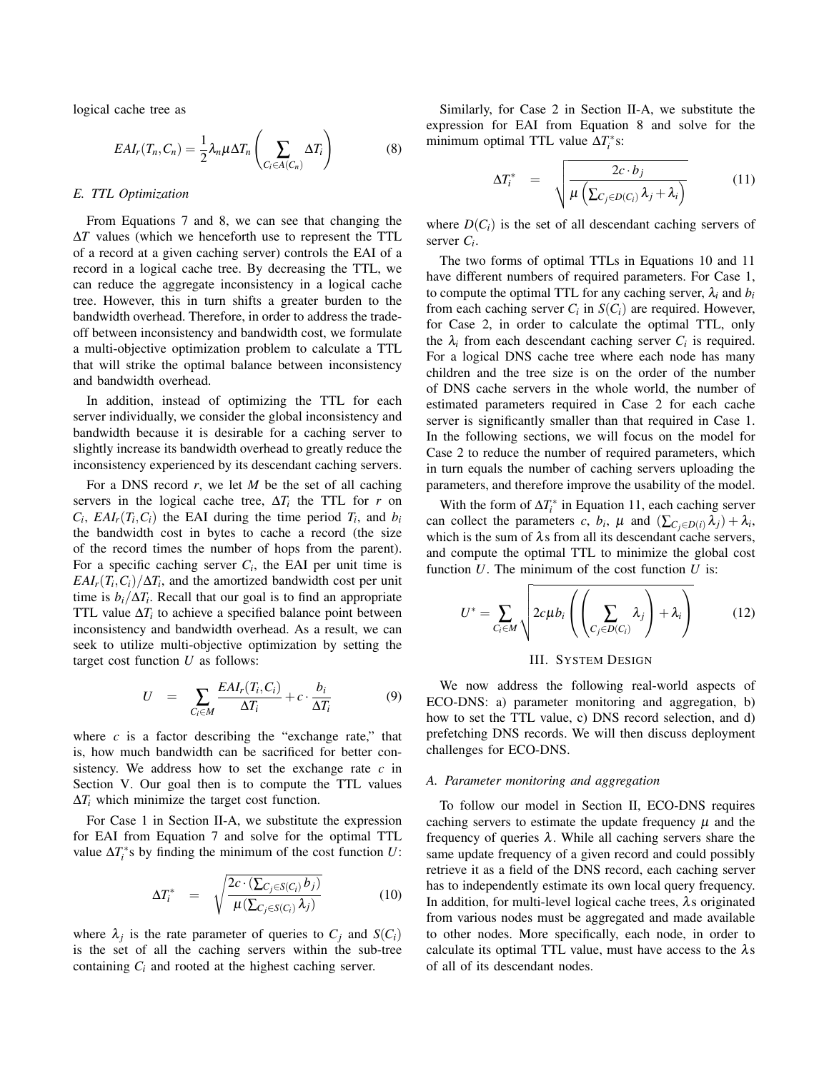logical cache tree as

$$
EAI_r(T_n, C_n) = \frac{1}{2} \lambda_n \mu \Delta T_n \left( \sum_{C_i \in A(C_n)} \Delta T_i \right)
$$
 (8)

## *E. TTL Optimization*

From Equations 7 and 8, we can see that changing the ∆*T* values (which we henceforth use to represent the TTL of a record at a given caching server) controls the EAI of a record in a logical cache tree. By decreasing the TTL, we can reduce the aggregate inconsistency in a logical cache tree. However, this in turn shifts a greater burden to the bandwidth overhead. Therefore, in order to address the tradeoff between inconsistency and bandwidth cost, we formulate a multi-objective optimization problem to calculate a TTL that will strike the optimal balance between inconsistency and bandwidth overhead.

In addition, instead of optimizing the TTL for each server individually, we consider the global inconsistency and bandwidth because it is desirable for a caching server to slightly increase its bandwidth overhead to greatly reduce the inconsistency experienced by its descendant caching servers.

For a DNS record *r*, we let *M* be the set of all caching servers in the logical cache tree,  $\Delta T_i$  the TTL for *r* on  $C_i$ ,  $EAI_r(T_i, C_i)$  the EAI during the time period  $T_i$ , and  $b_i$ the bandwidth cost in bytes to cache a record (the size of the record times the number of hops from the parent). For a specific caching server  $C_i$ , the EAI per unit time is  $E A I_r(T_i, C_i) / \Delta T_i$ , and the amortized bandwidth cost per unit time is  $b_i/\Delta T_i$ . Recall that our goal is to find an appropriate TTL value ∆*T<sup>i</sup>* to achieve a specified balance point between inconsistency and bandwidth overhead. As a result, we can seek to utilize multi-objective optimization by setting the target cost function *U* as follows:

$$
U = \sum_{C_i \in M} \frac{EAI_r(T_i, C_i)}{\Delta T_i} + c \cdot \frac{b_i}{\Delta T_i}
$$
(9)

where  $c$  is a factor describing the "exchange rate," that is, how much bandwidth can be sacrificed for better consistency. We address how to set the exchange rate *c* in Section V. Our goal then is to compute the TTL values  $\Delta T_i$  which minimize the target cost function.

For Case 1 in Section II-A, we substitute the expression for EAI from Equation 7 and solve for the optimal TTL value  $\Delta T_i^*$ s by finding the minimum of the cost function *U*:

$$
\Delta T_i^* = \sqrt{\frac{2c \cdot (\sum_{C_j \in S(C_i)} b_j)}{\mu (\sum_{C_j \in S(C_i)} \lambda_j)}}
$$
(10)

where  $\lambda_j$  is the rate parameter of queries to  $C_j$  and  $S(C_i)$ is the set of all the caching servers within the sub-tree containing *C<sup>i</sup>* and rooted at the highest caching server.

Similarly, for Case 2 in Section II-A, we substitute the expression for EAI from Equation 8 and solve for the minimum optimal TTL value  $\Delta T_i^*$ s:

$$
\Delta T_i^* = \sqrt{\frac{2c \cdot b_j}{\mu \left( \sum_{C_j \in D(C_i)} \lambda_j + \lambda_i \right)}}
$$
(11)

where  $D(C_i)$  is the set of all descendant caching servers of server *C<sup>i</sup>* .

The two forms of optimal TTLs in Equations 10 and 11 have different numbers of required parameters. For Case 1, to compute the optimal TTL for any caching server,  $\lambda_i$  and  $b_i$ from each caching server  $C_i$  in  $S(C_i)$  are required. However, for Case 2, in order to calculate the optimal TTL, only the  $\lambda_i$  from each descendant caching server  $C_i$  is required. For a logical DNS cache tree where each node has many children and the tree size is on the order of the number of DNS cache servers in the whole world, the number of estimated parameters required in Case 2 for each cache server is significantly smaller than that required in Case 1. In the following sections, we will focus on the model for Case 2 to reduce the number of required parameters, which in turn equals the number of caching servers uploading the parameters, and therefore improve the usability of the model.

With the form of  $\Delta T_i^*$  in Equation 11, each caching server can collect the parameters *c*, *b<sub>i</sub>*,  $\mu$  and  $(\sum_{C_j \in D(i)} \lambda_j) + \lambda_i$ , which is the sum of  $\lambda$ s from all its descendant cache servers, and compute the optimal TTL to minimize the global cost function *U*. The minimum of the cost function *U* is:

$$
U^* = \sum_{C_i \in M} \sqrt{2c\mu b_i \left( \left( \sum_{C_j \in D(C_i)} \lambda_j \right) + \lambda_i \right)}
$$
(12)

# III. SYSTEM DESIGN

We now address the following real-world aspects of ECO-DNS: a) parameter monitoring and aggregation, b) how to set the TTL value, c) DNS record selection, and d) prefetching DNS records. We will then discuss deployment challenges for ECO-DNS.

#### *A. Parameter monitoring and aggregation*

To follow our model in Section II, ECO-DNS requires caching servers to estimate the update frequency  $\mu$  and the frequency of queries λ. While all caching servers share the same update frequency of a given record and could possibly retrieve it as a field of the DNS record, each caching server has to independently estimate its own local query frequency. In addition, for multi-level logical cache trees,  $\lambda$ s originated from various nodes must be aggregated and made available to other nodes. More specifically, each node, in order to calculate its optimal TTL value, must have access to the  $\lambda$ s of all of its descendant nodes.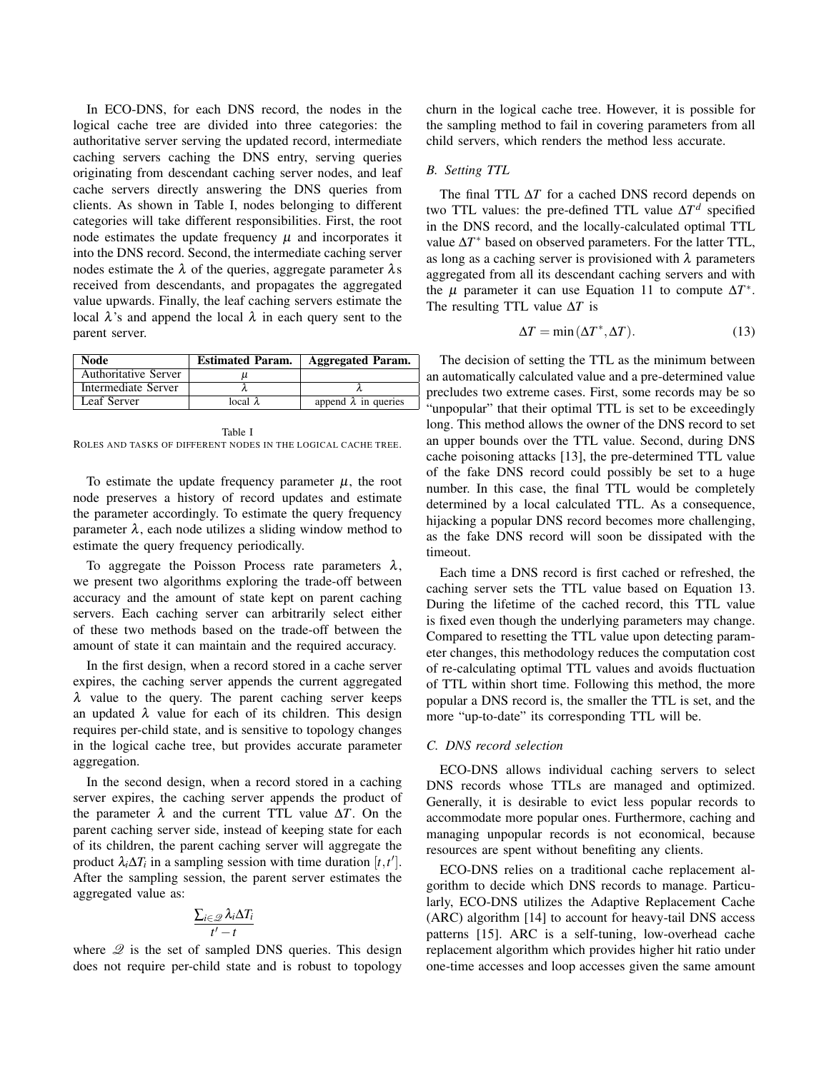In ECO-DNS, for each DNS record, the nodes in the logical cache tree are divided into three categories: the authoritative server serving the updated record, intermediate caching servers caching the DNS entry, serving queries originating from descendant caching server nodes, and leaf cache servers directly answering the DNS queries from clients. As shown in Table I, nodes belonging to different categories will take different responsibilities. First, the root node estimates the update frequency  $\mu$  and incorporates it into the DNS record. Second, the intermediate caching server nodes estimate the  $\lambda$  of the queries, aggregate parameter  $\lambda$ s received from descendants, and propagates the aggregated value upwards. Finally, the leaf caching servers estimate the local  $\lambda$ 's and append the local  $\lambda$  in each query sent to the parent server.

| Node                        | <b>Estimated Param.</b> | <b>Aggregated Param.</b>    |
|-----------------------------|-------------------------|-----------------------------|
| <b>Authoritative Server</b> |                         |                             |
| Intermediate Server         |                         |                             |
| Leaf Server                 | $local \lambda$         | append $\lambda$ in queries |

Table I

ROLES AND TASKS OF DIFFERENT NODES IN THE LOGICAL CACHE TREE.

To estimate the update frequency parameter  $\mu$ , the root node preserves a history of record updates and estimate the parameter accordingly. To estimate the query frequency parameter  $\lambda$ , each node utilizes a sliding window method to estimate the query frequency periodically.

To aggregate the Poisson Process rate parameters  $\lambda$ , we present two algorithms exploring the trade-off between accuracy and the amount of state kept on parent caching servers. Each caching server can arbitrarily select either of these two methods based on the trade-off between the amount of state it can maintain and the required accuracy.

In the first design, when a record stored in a cache server expires, the caching server appends the current aggregated  $\lambda$  value to the query. The parent caching server keeps an updated  $\lambda$  value for each of its children. This design requires per-child state, and is sensitive to topology changes in the logical cache tree, but provides accurate parameter aggregation.

In the second design, when a record stored in a caching server expires, the caching server appends the product of the parameter  $\lambda$  and the current TTL value  $\Delta T$ . On the parent caching server side, instead of keeping state for each of its children, the parent caching server will aggregate the product  $\lambda_i \Delta T_i$  in a sampling session with time duration  $[t, t']$ . After the sampling session, the parent server estimates the aggregated value as:

$$
\frac{\sum_{i\in\mathscr{Q}}\lambda_i\Delta T_i}{t'-t}
$$

where  $Q$  is the set of sampled DNS queries. This design does not require per-child state and is robust to topology churn in the logical cache tree. However, it is possible for the sampling method to fail in covering parameters from all child servers, which renders the method less accurate.

# *B. Setting TTL*

The final TTL ∆*T* for a cached DNS record depends on two TTL values: the pre-defined TTL value Δ*T<sup>d</sup>* specified in the DNS record, and the locally-calculated optimal TTL value ∆*T* <sup>∗</sup> based on observed parameters. For the latter TTL, as long as a caching server is provisioned with  $\lambda$  parameters aggregated from all its descendant caching servers and with the  $\mu$  parameter it can use Equation 11 to compute  $\Delta T^*$ . The resulting TTL value ∆*T* is

$$
\Delta T = \min(\Delta T^*, \Delta T). \tag{13}
$$

The decision of setting the TTL as the minimum between an automatically calculated value and a pre-determined value precludes two extreme cases. First, some records may be so "unpopular" that their optimal TTL is set to be exceedingly long. This method allows the owner of the DNS record to set an upper bounds over the TTL value. Second, during DNS cache poisoning attacks [13], the pre-determined TTL value of the fake DNS record could possibly be set to a huge number. In this case, the final TTL would be completely determined by a local calculated TTL. As a consequence, hijacking a popular DNS record becomes more challenging, as the fake DNS record will soon be dissipated with the timeout.

Each time a DNS record is first cached or refreshed, the caching server sets the TTL value based on Equation 13. During the lifetime of the cached record, this TTL value is fixed even though the underlying parameters may change. Compared to resetting the TTL value upon detecting parameter changes, this methodology reduces the computation cost of re-calculating optimal TTL values and avoids fluctuation of TTL within short time. Following this method, the more popular a DNS record is, the smaller the TTL is set, and the more "up-to-date" its corresponding TTL will be.

#### *C. DNS record selection*

ECO-DNS allows individual caching servers to select DNS records whose TTLs are managed and optimized. Generally, it is desirable to evict less popular records to accommodate more popular ones. Furthermore, caching and managing unpopular records is not economical, because resources are spent without benefiting any clients.

ECO-DNS relies on a traditional cache replacement algorithm to decide which DNS records to manage. Particularly, ECO-DNS utilizes the Adaptive Replacement Cache (ARC) algorithm [14] to account for heavy-tail DNS access patterns [15]. ARC is a self-tuning, low-overhead cache replacement algorithm which provides higher hit ratio under one-time accesses and loop accesses given the same amount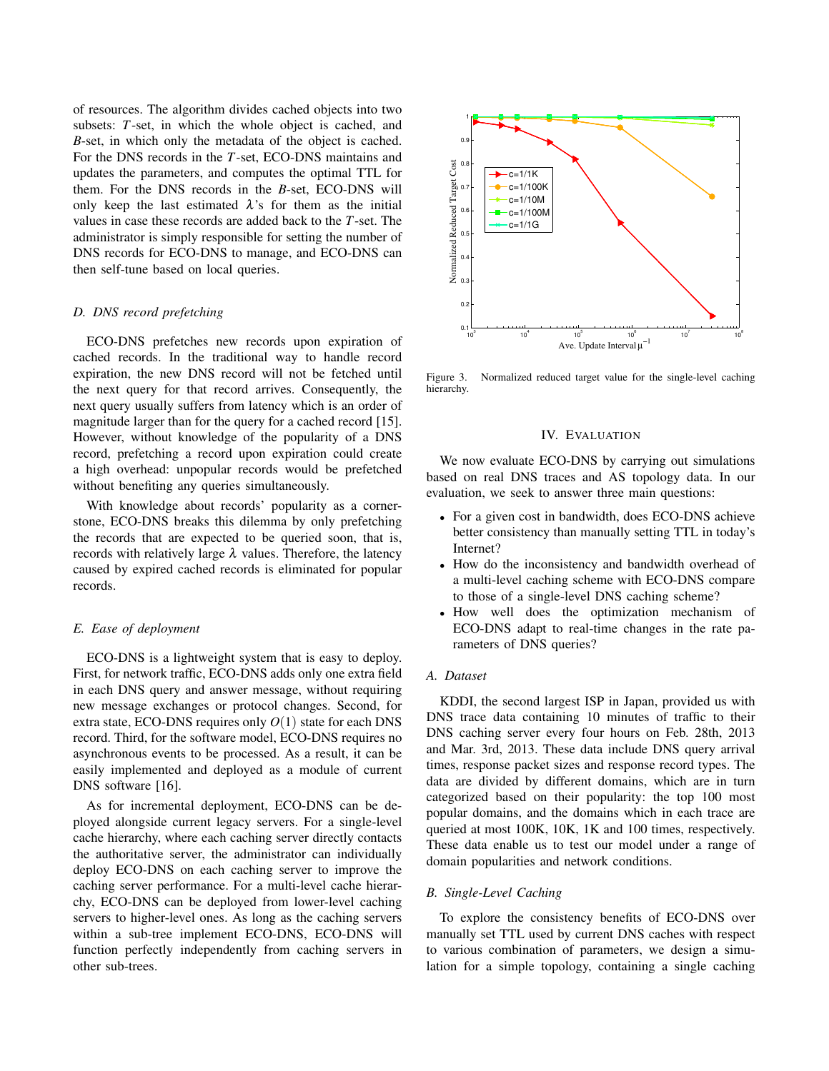of resources. The algorithm divides cached objects into two subsets: *T*-set, in which the whole object is cached, and *B*-set, in which only the metadata of the object is cached. For the DNS records in the *T*-set, ECO-DNS maintains and updates the parameters, and computes the optimal TTL for them. For the DNS records in the *B*-set, ECO-DNS will only keep the last estimated  $\lambda$ 's for them as the initial values in case these records are added back to the *T*-set. The administrator is simply responsible for setting the number of DNS records for ECO-DNS to manage, and ECO-DNS can then self-tune based on local queries.

# *D. DNS record prefetching*

ECO-DNS prefetches new records upon expiration of cached records. In the traditional way to handle record expiration, the new DNS record will not be fetched until the next query for that record arrives. Consequently, the next query usually suffers from latency which is an order of magnitude larger than for the query for a cached record [15]. However, without knowledge of the popularity of a DNS record, prefetching a record upon expiration could create a high overhead: unpopular records would be prefetched without benefiting any queries simultaneously.

With knowledge about records' popularity as a cornerstone, ECO-DNS breaks this dilemma by only prefetching the records that are expected to be queried soon, that is, records with relatively large  $\lambda$  values. Therefore, the latency caused by expired cached records is eliminated for popular records.

## *E. Ease of deployment*

ECO-DNS is a lightweight system that is easy to deploy. First, for network traffic, ECO-DNS adds only one extra field in each DNS query and answer message, without requiring new message exchanges or protocol changes. Second, for extra state, ECO-DNS requires only *O*(1) state for each DNS record. Third, for the software model, ECO-DNS requires no asynchronous events to be processed. As a result, it can be easily implemented and deployed as a module of current DNS software [16].

As for incremental deployment, ECO-DNS can be deployed alongside current legacy servers. For a single-level cache hierarchy, where each caching server directly contacts the authoritative server, the administrator can individually deploy ECO-DNS on each caching server to improve the caching server performance. For a multi-level cache hierarchy, ECO-DNS can be deployed from lower-level caching servers to higher-level ones. As long as the caching servers within a sub-tree implement ECO-DNS, ECO-DNS will function perfectly independently from caching servers in other sub-trees.



Figure 3. Normalized reduced target value for the single-level caching hierarchy.

#### IV. EVALUATION

We now evaluate ECO-DNS by carrying out simulations based on real DNS traces and AS topology data. In our evaluation, we seek to answer three main questions:

- For a given cost in bandwidth, does ECO-DNS achieve better consistency than manually setting TTL in today's Internet?
- How do the inconsistency and bandwidth overhead of a multi-level caching scheme with ECO-DNS compare to those of a single-level DNS caching scheme?
- How well does the optimization mechanism of ECO-DNS adapt to real-time changes in the rate parameters of DNS queries?

# *A. Dataset*

KDDI, the second largest ISP in Japan, provided us with DNS trace data containing 10 minutes of traffic to their DNS caching server every four hours on Feb. 28th, 2013 and Mar. 3rd, 2013. These data include DNS query arrival times, response packet sizes and response record types. The data are divided by different domains, which are in turn categorized based on their popularity: the top 100 most popular domains, and the domains which in each trace are queried at most 100K, 10K, 1K and 100 times, respectively. These data enable us to test our model under a range of domain popularities and network conditions.

## *B. Single-Level Caching*

To explore the consistency benefits of ECO-DNS over manually set TTL used by current DNS caches with respect to various combination of parameters, we design a simulation for a simple topology, containing a single caching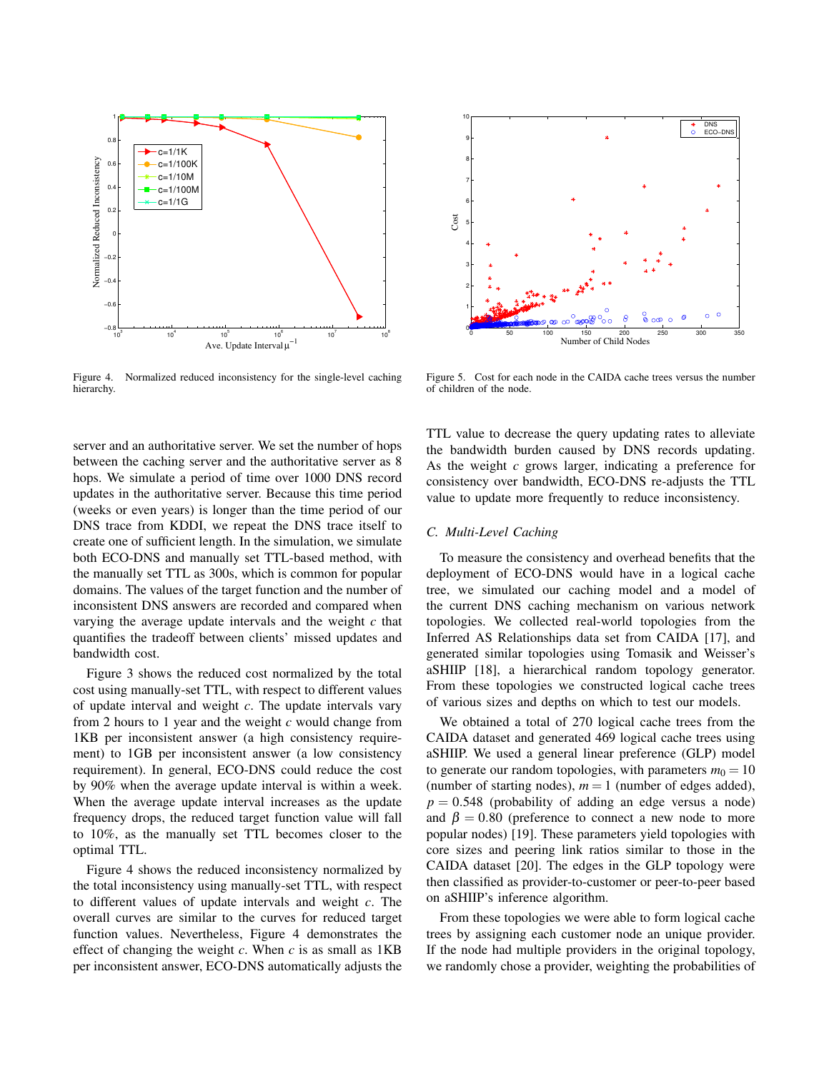

Figure 4. Normalized reduced inconsistency for the single-level caching hierarchy.

server and an authoritative server. We set the number of hops between the caching server and the authoritative server as 8 hops. We simulate a period of time over 1000 DNS record updates in the authoritative server. Because this time period (weeks or even years) is longer than the time period of our DNS trace from KDDI, we repeat the DNS trace itself to create one of sufficient length. In the simulation, we simulate both ECO-DNS and manually set TTL-based method, with the manually set TTL as 300s, which is common for popular domains. The values of the target function and the number of inconsistent DNS answers are recorded and compared when varying the average update intervals and the weight *c* that quantifies the tradeoff between clients' missed updates and bandwidth cost.

Figure 3 shows the reduced cost normalized by the total cost using manually-set TTL, with respect to different values of update interval and weight *c*. The update intervals vary from 2 hours to 1 year and the weight *c* would change from 1KB per inconsistent answer (a high consistency requirement) to 1GB per inconsistent answer (a low consistency requirement). In general, ECO-DNS could reduce the cost by 90% when the average update interval is within a week. When the average update interval increases as the update frequency drops, the reduced target function value will fall to 10%, as the manually set TTL becomes closer to the optimal TTL.

Figure 4 shows the reduced inconsistency normalized by the total inconsistency using manually-set TTL, with respect to different values of update intervals and weight *c*. The overall curves are similar to the curves for reduced target function values. Nevertheless, Figure 4 demonstrates the effect of changing the weight *c*. When *c* is as small as 1KB per inconsistent answer, ECO-DNS automatically adjusts the



Figure 5. Cost for each node in the CAIDA cache trees versus the number of children of the node.

TTL value to decrease the query updating rates to alleviate the bandwidth burden caused by DNS records updating. As the weight *c* grows larger, indicating a preference for consistency over bandwidth, ECO-DNS re-adjusts the TTL value to update more frequently to reduce inconsistency.

# *C. Multi-Level Caching*

To measure the consistency and overhead benefits that the deployment of ECO-DNS would have in a logical cache tree, we simulated our caching model and a model of the current DNS caching mechanism on various network topologies. We collected real-world topologies from the Inferred AS Relationships data set from CAIDA [17], and generated similar topologies using Tomasik and Weisser's aSHIIP [18], a hierarchical random topology generator. From these topologies we constructed logical cache trees of various sizes and depths on which to test our models.

We obtained a total of 270 logical cache trees from the CAIDA dataset and generated 469 logical cache trees using aSHIIP. We used a general linear preference (GLP) model to generate our random topologies, with parameters  $m_0 = 10$ (number of starting nodes),  $m = 1$  (number of edges added),  $p = 0.548$  (probability of adding an edge versus a node) and  $\beta = 0.80$  (preference to connect a new node to more popular nodes) [19]. These parameters yield topologies with core sizes and peering link ratios similar to those in the CAIDA dataset [20]. The edges in the GLP topology were then classified as provider-to-customer or peer-to-peer based on aSHIIP's inference algorithm.

From these topologies we were able to form logical cache trees by assigning each customer node an unique provider. If the node had multiple providers in the original topology, we randomly chose a provider, weighting the probabilities of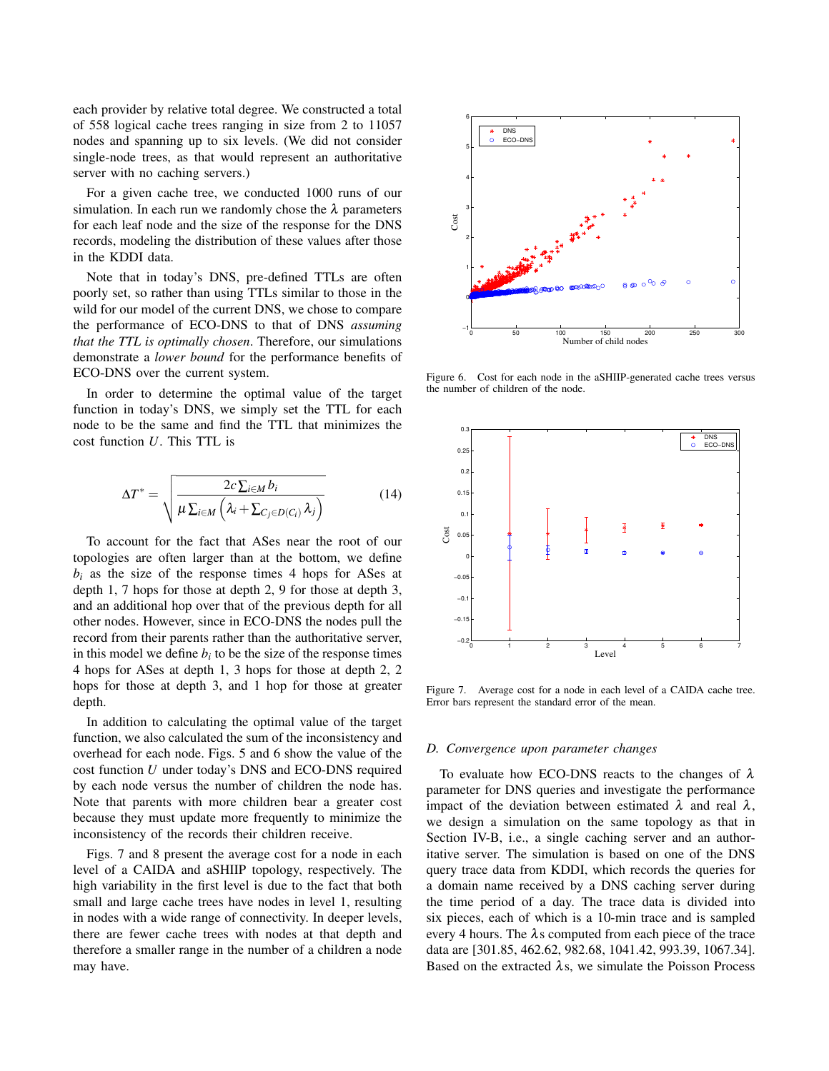each provider by relative total degree. We constructed a total of 558 logical cache trees ranging in size from 2 to 11057 nodes and spanning up to six levels. (We did not consider single-node trees, as that would represent an authoritative server with no caching servers.)

For a given cache tree, we conducted 1000 runs of our simulation. In each run we randomly chose the  $\lambda$  parameters for each leaf node and the size of the response for the DNS records, modeling the distribution of these values after those in the KDDI data.

Note that in today's DNS, pre-defined TTLs are often poorly set, so rather than using TTLs similar to those in the wild for our model of the current DNS, we chose to compare the performance of ECO-DNS to that of DNS *assuming that the TTL is optimally chosen*. Therefore, our simulations demonstrate a *lower bound* for the performance benefits of ECO-DNS over the current system.

In order to determine the optimal value of the target function in today's DNS, we simply set the TTL for each node to be the same and find the TTL that minimizes the cost function *U*. This TTL is

$$
\Delta T^* = \sqrt{\frac{2c\sum_{i\in M}b_i}{\mu\sum_{i\in M}\left(\lambda_i + \sum_{C_j\in D(C_i)}\lambda_j\right)}}
$$
(14)

To account for the fact that ASes near the root of our topologies are often larger than at the bottom, we define  $b_i$  as the size of the response times 4 hops for ASes at depth 1, 7 hops for those at depth 2, 9 for those at depth 3, and an additional hop over that of the previous depth for all other nodes. However, since in ECO-DNS the nodes pull the record from their parents rather than the authoritative server, in this model we define  $b_i$  to be the size of the response times 4 hops for ASes at depth 1, 3 hops for those at depth 2, 2 hops for those at depth 3, and 1 hop for those at greater depth.

In addition to calculating the optimal value of the target function, we also calculated the sum of the inconsistency and overhead for each node. Figs. 5 and 6 show the value of the cost function *U* under today's DNS and ECO-DNS required by each node versus the number of children the node has. Note that parents with more children bear a greater cost because they must update more frequently to minimize the inconsistency of the records their children receive.

Figs. 7 and 8 present the average cost for a node in each level of a CAIDA and aSHIIP topology, respectively. The high variability in the first level is due to the fact that both small and large cache trees have nodes in level 1, resulting in nodes with a wide range of connectivity. In deeper levels, there are fewer cache trees with nodes at that depth and therefore a smaller range in the number of a children a node may have.



Figure 6. Cost for each node in the aSHIIP-generated cache trees versus the number of children of the node.



Figure 7. Average cost for a node in each level of a CAIDA cache tree. Error bars represent the standard error of the mean.

#### *D. Convergence upon parameter changes*

To evaluate how ECO-DNS reacts to the changes of  $\lambda$ parameter for DNS queries and investigate the performance impact of the deviation between estimated  $\lambda$  and real  $\lambda$ , we design a simulation on the same topology as that in Section IV-B, i.e., a single caching server and an authoritative server. The simulation is based on one of the DNS query trace data from KDDI, which records the queries for a domain name received by a DNS caching server during the time period of a day. The trace data is divided into six pieces, each of which is a 10-min trace and is sampled every 4 hours. The  $\lambda$ s computed from each piece of the trace data are [301.85, 462.62, 982.68, 1041.42, 993.39, 1067.34]. Based on the extracted  $\lambda$ s, we simulate the Poisson Process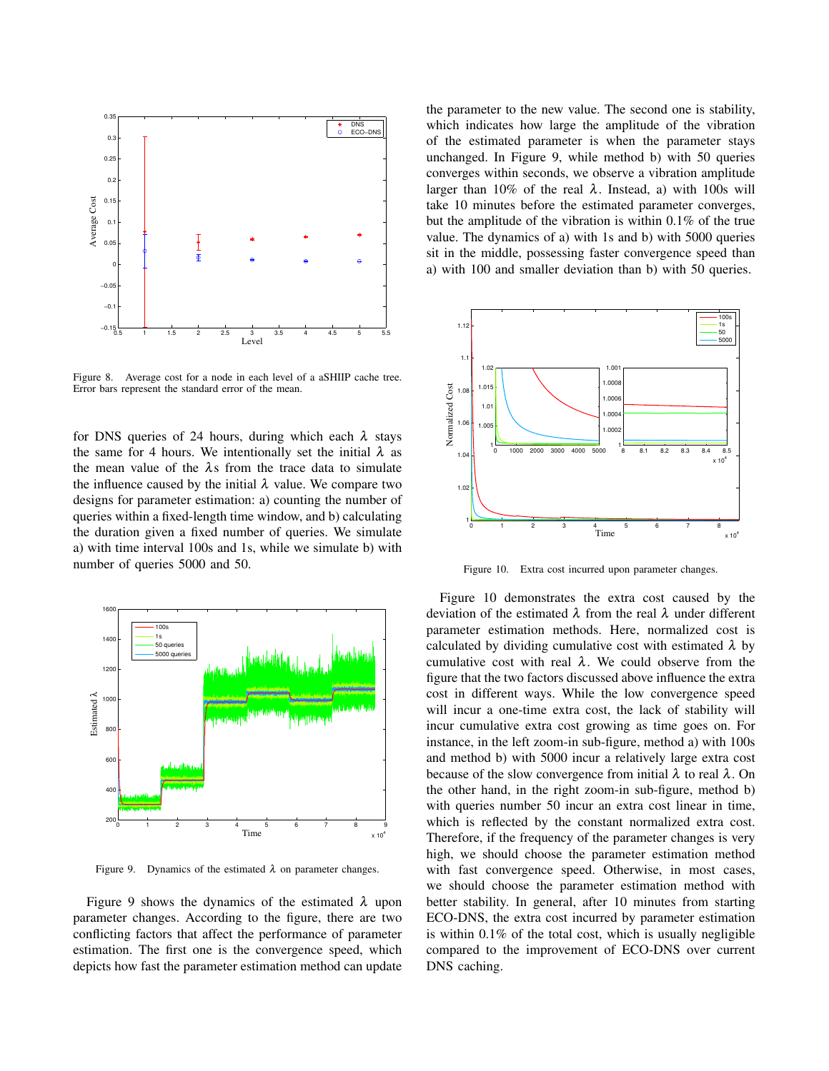

Figure 8. Average cost for a node in each level of a aSHIIP cache tree. Error bars represent the standard error of the mean.

for DNS queries of 24 hours, during which each  $\lambda$  stays the same for 4 hours. We intentionally set the initial  $\lambda$  as the mean value of the  $\lambda$ s from the trace data to simulate the influence caused by the initial  $\lambda$  value. We compare two designs for parameter estimation: a) counting the number of queries within a fixed-length time window, and b) calculating the duration given a fixed number of queries. We simulate a) with time interval 100s and 1s, while we simulate b) with number of queries 5000 and 50.



Figure 9. Dynamics of the estimated  $\lambda$  on parameter changes.

Figure 9 shows the dynamics of the estimated  $\lambda$  upon parameter changes. According to the figure, there are two conflicting factors that affect the performance of parameter estimation. The first one is the convergence speed, which depicts how fast the parameter estimation method can update the parameter to the new value. The second one is stability, which indicates how large the amplitude of the vibration of the estimated parameter is when the parameter stays unchanged. In Figure 9, while method b) with 50 queries converges within seconds, we observe a vibration amplitude larger than 10% of the real  $\lambda$ . Instead, a) with 100s will take 10 minutes before the estimated parameter converges, but the amplitude of the vibration is within 0.1% of the true value. The dynamics of a) with 1s and b) with 5000 queries sit in the middle, possessing faster convergence speed than a) with 100 and smaller deviation than b) with 50 queries.



Figure 10. Extra cost incurred upon parameter changes.

Figure 10 demonstrates the extra cost caused by the deviation of the estimated  $\lambda$  from the real  $\lambda$  under different parameter estimation methods. Here, normalized cost is calculated by dividing cumulative cost with estimated  $\lambda$  by cumulative cost with real  $\lambda$ . We could observe from the figure that the two factors discussed above influence the extra cost in different ways. While the low convergence speed will incur a one-time extra cost, the lack of stability will incur cumulative extra cost growing as time goes on. For instance, in the left zoom-in sub-figure, method a) with 100s and method b) with 5000 incur a relatively large extra cost because of the slow convergence from initial  $\lambda$  to real  $\lambda$ . On the other hand, in the right zoom-in sub-figure, method b) with queries number 50 incur an extra cost linear in time, which is reflected by the constant normalized extra cost. Therefore, if the frequency of the parameter changes is very high, we should choose the parameter estimation method with fast convergence speed. Otherwise, in most cases, we should choose the parameter estimation method with better stability. In general, after 10 minutes from starting ECO-DNS, the extra cost incurred by parameter estimation is within 0.1% of the total cost, which is usually negligible compared to the improvement of ECO-DNS over current DNS caching.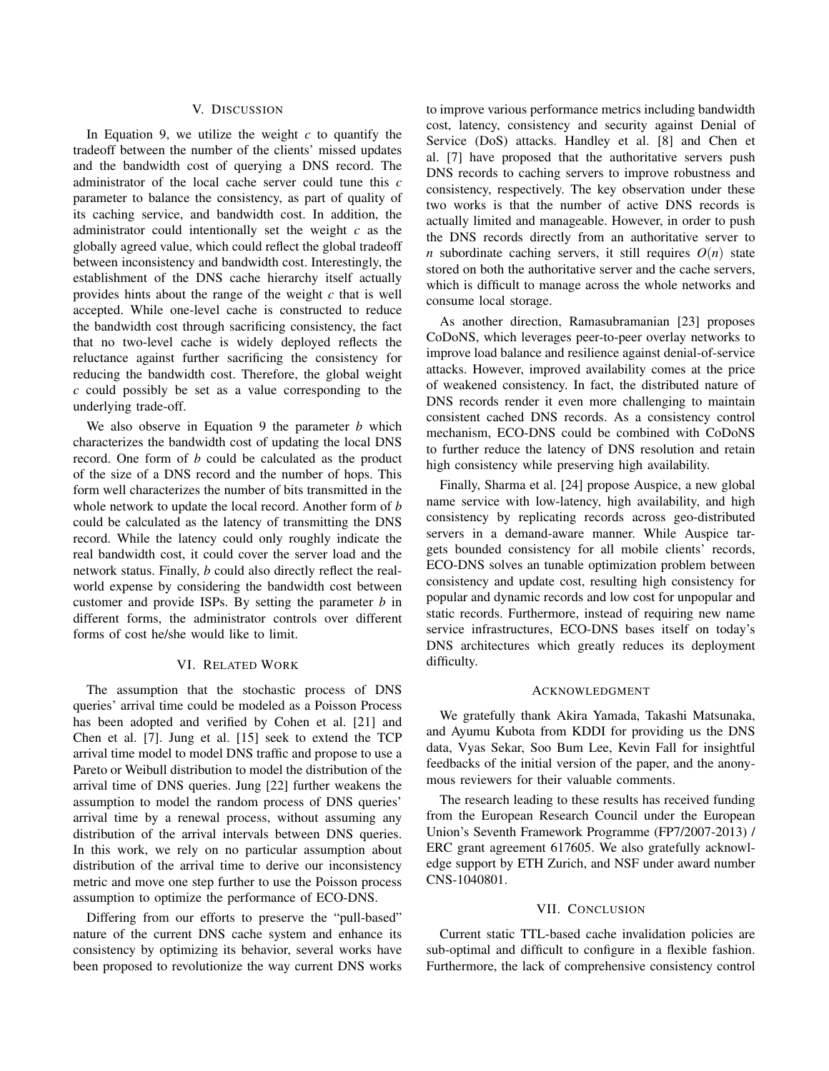## V. DISCUSSION

In Equation 9, we utilize the weight  $c$  to quantify the tradeoff between the number of the clients' missed updates and the bandwidth cost of querying a DNS record. The administrator of the local cache server could tune this *c* parameter to balance the consistency, as part of quality of its caching service, and bandwidth cost. In addition, the administrator could intentionally set the weight *c* as the globally agreed value, which could reflect the global tradeoff between inconsistency and bandwidth cost. Interestingly, the establishment of the DNS cache hierarchy itself actually provides hints about the range of the weight *c* that is well accepted. While one-level cache is constructed to reduce the bandwidth cost through sacrificing consistency, the fact that no two-level cache is widely deployed reflects the reluctance against further sacrificing the consistency for reducing the bandwidth cost. Therefore, the global weight *c* could possibly be set as a value corresponding to the underlying trade-off.

We also observe in Equation 9 the parameter *b* which characterizes the bandwidth cost of updating the local DNS record. One form of *b* could be calculated as the product of the size of a DNS record and the number of hops. This form well characterizes the number of bits transmitted in the whole network to update the local record. Another form of *b* could be calculated as the latency of transmitting the DNS record. While the latency could only roughly indicate the real bandwidth cost, it could cover the server load and the network status. Finally, *b* could also directly reflect the realworld expense by considering the bandwidth cost between customer and provide ISPs. By setting the parameter *b* in different forms, the administrator controls over different forms of cost he/she would like to limit.

## VI. RELATED WORK

The assumption that the stochastic process of DNS queries' arrival time could be modeled as a Poisson Process has been adopted and verified by Cohen et al. [21] and Chen et al. [7]. Jung et al. [15] seek to extend the TCP arrival time model to model DNS traffic and propose to use a Pareto or Weibull distribution to model the distribution of the arrival time of DNS queries. Jung [22] further weakens the assumption to model the random process of DNS queries' arrival time by a renewal process, without assuming any distribution of the arrival intervals between DNS queries. In this work, we rely on no particular assumption about distribution of the arrival time to derive our inconsistency metric and move one step further to use the Poisson process assumption to optimize the performance of ECO-DNS.

Differing from our efforts to preserve the "pull-based" nature of the current DNS cache system and enhance its consistency by optimizing its behavior, several works have been proposed to revolutionize the way current DNS works to improve various performance metrics including bandwidth cost, latency, consistency and security against Denial of Service (DoS) attacks. Handley et al. [8] and Chen et al. [7] have proposed that the authoritative servers push DNS records to caching servers to improve robustness and consistency, respectively. The key observation under these two works is that the number of active DNS records is actually limited and manageable. However, in order to push the DNS records directly from an authoritative server to *n* subordinate caching servers, it still requires  $O(n)$  state stored on both the authoritative server and the cache servers, which is difficult to manage across the whole networks and consume local storage.

As another direction, Ramasubramanian [23] proposes CoDoNS, which leverages peer-to-peer overlay networks to improve load balance and resilience against denial-of-service attacks. However, improved availability comes at the price of weakened consistency. In fact, the distributed nature of DNS records render it even more challenging to maintain consistent cached DNS records. As a consistency control mechanism, ECO-DNS could be combined with CoDoNS to further reduce the latency of DNS resolution and retain high consistency while preserving high availability.

Finally, Sharma et al. [24] propose Auspice, a new global name service with low-latency, high availability, and high consistency by replicating records across geo-distributed servers in a demand-aware manner. While Auspice targets bounded consistency for all mobile clients' records, ECO-DNS solves an tunable optimization problem between consistency and update cost, resulting high consistency for popular and dynamic records and low cost for unpopular and static records. Furthermore, instead of requiring new name service infrastructures, ECO-DNS bases itself on today's DNS architectures which greatly reduces its deployment difficulty.

#### ACKNOWLEDGMENT

We gratefully thank Akira Yamada, Takashi Matsunaka, and Ayumu Kubota from KDDI for providing us the DNS data, Vyas Sekar, Soo Bum Lee, Kevin Fall for insightful feedbacks of the initial version of the paper, and the anonymous reviewers for their valuable comments.

The research leading to these results has received funding from the European Research Council under the European Union's Seventh Framework Programme (FP7/2007-2013) / ERC grant agreement 617605. We also gratefully acknowledge support by ETH Zurich, and NSF under award number CNS-1040801.

#### VII. CONCLUSION

Current static TTL-based cache invalidation policies are sub-optimal and difficult to configure in a flexible fashion. Furthermore, the lack of comprehensive consistency control